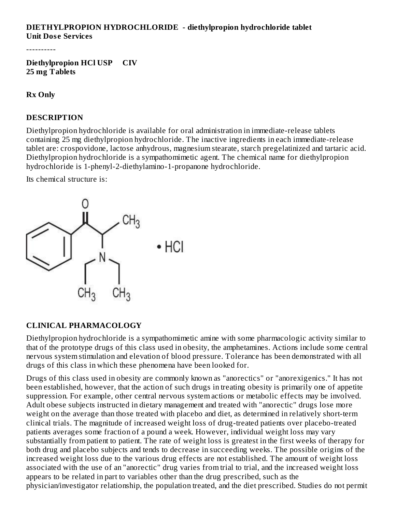### **DIETHYLPROPION HYDROCHLORIDE - diethylpropion hydrochloride tablet Unit Dos e Services**

----------

**Diethylpropion HCl USP CIV 25 mg Tablets**

**Rx Only**

#### **DESCRIPTION**

Diethylpropion hydrochloride is available for oral administration in immediate-release tablets containing 25 mg diethylpropion hydrochloride. The inactive ingredients in each immediate-release tablet are: crospovidone, lactose anhydrous, magnesium stearate, starch pregelatinized and tartaric acid. Diethylpropion hydrochloride is a sympathomimetic agent. The chemical name for diethylpropion hydrochloride is 1-phenyl-2-diethylamino-1-propanone hydrochloride.

Its chemical structure is:



#### **CLINICAL PHARMACOLOGY**

Diethylpropion hydrochloride is a sympathomimetic amine with some pharmacologic activity similar to that of the prototype drugs of this class used in obesity, the amphetamines. Actions include some central nervous system stimulation and elevation of blood pressure. Tolerance has been demonstrated with all drugs of this class in which these phenomena have been looked for.

Drugs of this class used in obesity are commonly known as "anorectics" or "anorexigenics." It has not been established, however, that the action of such drugs in treating obesity is primarily one of appetite suppression. For example, other central nervous system actions or metabolic effects may be involved. Adult obese subjects instructed in dietary management and treated with "anorectic" drugs lose more weight on the average than those treated with placebo and diet, as determined in relatively short-term clinical trials. The magnitude of increased weight loss of drug-treated patients over placebo-treated patients averages some fraction of a pound a week. However, individual weight loss may vary substantially from patient to patient. The rate of weight loss is greatest in the first weeks of therapy for both drug and placebo subjects and tends to decrease in succeeding weeks. The possible origins of the increased weight loss due to the various drug effects are not established. The amount of weight loss associated with the use of an "anorectic" drug varies from trial to trial, and the increased weight loss appears to be related in part to variables other than the drug prescribed, such as the physician/investigator relationship, the population treated, and the diet prescribed. Studies do not permit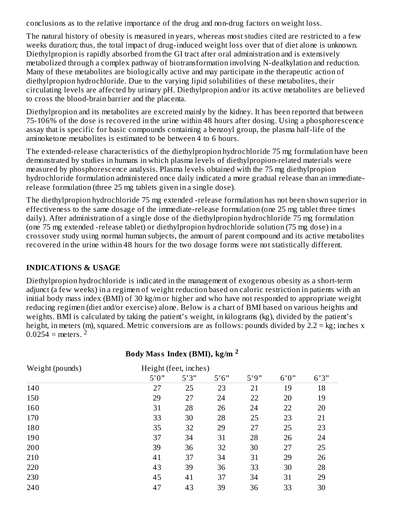conclusions as to the relative importance of the drug and non-drug factors on weight loss.

The natural history of obesity is measured in years, whereas most studies cited are restricted to a few weeks duration; thus, the total impact of drug-induced weight loss over that of diet alone is unknown. Diethylpropion is rapidly absorbed from the GI tract after oral administration and is extensively metabolized through a complex pathway of biotransformation involving N-dealkylation and reduction. Many of these metabolites are biologically active and may participate in the therapeutic action of diethylpropion hydrochloride. Due to the varying lipid solubilities of these metabolites, their circulating levels are affected by urinary pH. Diethylpropion and/or its active metabolites are believed to cross the blood-brain barrier and the placenta.

Diethylpropion and its metabolites are excreted mainly by the kidney. It has been reported that between 75-106% of the dose is recovered in the urine within 48 hours after dosing. Using a phosphorescence assay that is specific for basic compounds containing a benzoyl group, the plasma half-life of the aminoketone metabolites is estimated to be between 4 to 6 hours.

The extended-release characteristics of the diethylpropion hydrochloride 75 mg formulation have been demonstrated by studies in humans in which plasma levels of diethylpropion-related materials were measured by phosphorescence analysis. Plasma levels obtained with the 75 mg diethylpropion hydrochloride formulation administered once daily indicated a more gradual release than an immediaterelease formulation (three 25 mg tablets given in a single dose).

The diethylpropion hydrochloride 75 mg extended -release formulation has not been shown superior in effectiveness to the same dosage of the immediate-release formulation (one 25 mg tablet three times daily). After administration of a single dose of the diethylpropion hydrochloride 75 mg formulation (one 75 mg extended -release tablet) or diethylpropion hydrochloride solution (75 mg dose) in a crossover study using normal human subjects, the amount of parent compound and its active metabolites recovered in the urine within 48 hours for the two dosage forms were not statistically different.

#### **INDICATIONS & USAGE**

Diethylpropion hydrochloride is indicated in the management of exogenous obesity as a short-term adjunct (a few weeks) in a regimen of weight reduction based on caloric restriction in patients with an initial body mass index (BMI) of 30 kg/m or higher and who have not responded to appropriate weight reducing regimen (diet and/or exercise) alone. Below is a chart of BMI based on various heights and weights. BMI is calculated by taking the patient's weight, in kilograms (kg), divided by the patient's height, in meters (m), squared. Metric conversions are as follows: pounds divided by 2.2 = kg; inches x  $0.0254$  = meters. <sup>2</sup>

| Weight (pounds) | Height (feet, inches) |       |       |      |       |       |
|-----------------|-----------------------|-------|-------|------|-------|-------|
|                 | 5'0''                 | 5'3'' | 5'6'' | 5'9" | 6'0'' | 6'3'' |
| 140             | 27                    | 25    | 23    | 21   | 19    | 18    |
| 150             | 29                    | 27    | 24    | 22   | 20    | 19    |
| 160             | 31                    | 28    | 26    | 24   | 22    | 20    |
| 170             | 33                    | 30    | 28    | 25   | 23    | 21    |
| 180             | 35                    | 32    | 29    | 27   | 25    | 23    |
| 190             | 37                    | 34    | 31    | 28   | 26    | 24    |
| 200             | 39                    | 36    | 32    | 30   | 27    | 25    |
| 210             | 41                    | 37    | 34    | 31   | 29    | 26    |
| 220             | 43                    | 39    | 36    | 33   | 30    | 28    |
| 230             | 45                    | 41    | 37    | 34   | 31    | 29    |
| 240             | 47                    | 43    | 39    | 36   | 33    | 30    |

### **Body Mass Index (BMI), kg/m 2**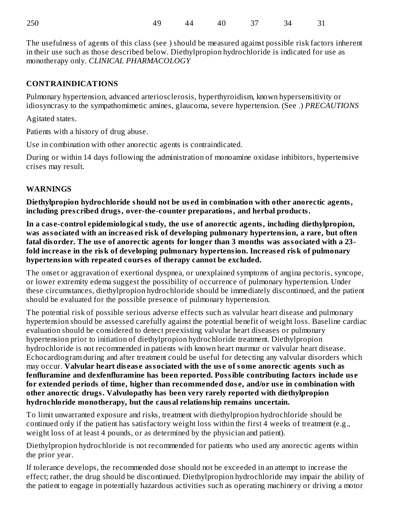| 250 |  |  | 49 44 40 37 34 31 |  |
|-----|--|--|-------------------|--|
|     |  |  |                   |  |

The usefulness of agents of this class (see ) should be measured against possible risk factors inherent in their use such as those described below. Diethylpropion hydrochloride is indicated for use as monotherapy only. *CLINICAL PHARMACOLOGY*

### **CONTRAINDICATIONS**

Pulmonary hypertension, advanced arteriosclerosis, hyperthyroidism, known hypersensitivity or idiosyncrasy to the sympathomimetic amines, glaucoma, severe hypertension. (See .) *PRECAUTIONS*

Agitated states.

Patients with a history of drug abuse.

Use in combination with other anorectic agents is contraindicated.

During or within 14 days following the administration of monoamine oxidase inhibitors, hypertensive crises may result.

#### **WARNINGS**

**Diethylpropion hydrochloride should not be us ed in combination with other anorectic agents, including pres cribed drugs, over-the-counter preparations, and herbal products.**

**In a cas e-control epidemiological study, the us e of anorectic agents, including diethylpropion, was associated with an increas ed risk of developing pulmonary hypertension, a rare, but often fatal disorder. The us e of anorectic agents for longer than 3 months was associated with a 23 fold increas e in the risk of developing pulmonary hypertension. Increas ed risk of pulmonary hypertension with repeated cours es of therapy cannot be excluded.**

The onset or aggravation of exertional dyspnea, or unexplained symptoms of angina pectoris, syncope, or lower extremity edema suggest the possibility of occurrence of pulmonary hypertension. Under these circumstances, diethylpropion hydrochloride should be immediately discontinued, and the patient should be evaluated for the possible presence of pulmonary hypertension.

The potential risk of possible serious adverse effects such as valvular heart disease and pulmonary hypertension should be assessed carefully against the potential benefit of weight loss. Baseline cardiac evaluation should be considered to detect preexisting valvular heart diseases or pulmonary hypertension prior to initiation of diethylpropion hydrochloride treatment. Diethylpropion hydrochloride is not recommended in patients with known heart murmur or valvular heart disease. Echocardiogram during and after treatment could be useful for detecting any valvular disorders which may occur. **Valvular heart dis eas e associated with the us e of some anorectic agents such as fenfluramine and dexfenfluramine has been reported. Possible contributing factors include us e for extended periods of time, higher than recommended dos e, and/or us e in combination with other anorectic drugs. Valvulopathy has been very rarely reported with diethylpropion hydrochloride monotherapy, but the causal relationship remains uncertain.**

To limit unwarranted exposure and risks, treatment with diethylpropion hydrochloride should be continued only if the patient has satisfactory weight loss within the first 4 weeks of treatment (e.g., weight loss of at least 4 pounds, or as determined by the physician and patient).

Diethylpropion hydrochloride is not recommended for patients who used any anorectic agents within the prior year.

If tolerance develops, the recommended dose should not be exceeded in an attempt to increase the effect; rather, the drug should be discontinued. Diethylpropion hydrochloride may impair the ability of the patient to engage in potentially hazardous activities such as operating machinery or driving a motor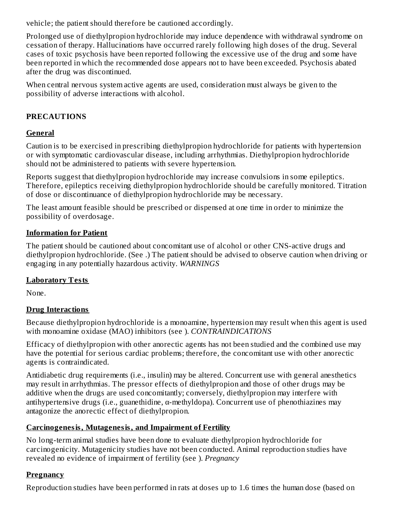vehicle; the patient should therefore be cautioned accordingly.

Prolonged use of diethylpropion hydrochloride may induce dependence with withdrawal syndrome on cessation of therapy. Hallucinations have occurred rarely following high doses of the drug. Several cases of toxic psychosis have been reported following the excessive use of the drug and some have been reported in which the recommended dose appears not to have been exceeded. Psychosis abated after the drug was discontinued.

When central nervous system active agents are used, consideration must always be given to the possibility of adverse interactions with alcohol.

### **PRECAUTIONS**

### **General**

Caution is to be exercised in prescribing diethylpropion hydrochloride for patients with hypertension or with symptomatic cardiovascular disease, including arrhythmias. Diethylpropion hydrochloride should not be administered to patients with severe hypertension.

Reports suggest that diethylpropion hydrochloride may increase convulsions in some epileptics. Therefore, epileptics receiving diethylpropion hydrochloride should be carefully monitored. Titration of dose or discontinuance of diethylpropion hydrochloride may be necessary.

The least amount feasible should be prescribed or dispensed at one time in order to minimize the possibility of overdosage.

#### **Information for Patient**

The patient should be cautioned about concomitant use of alcohol or other CNS-active drugs and diethylpropion hydrochloride. (See .) The patient should be advised to observe caution when driving or engaging in any potentially hazardous activity. *WARNINGS*

#### **Laboratory Tests**

None.

### **Drug Interactions**

Because diethylpropion hydrochloride is a monoamine, hypertension may result when this agent is used with monoamine oxidase (MAO) inhibitors (see ). *CONTRAINDICATIONS*

Efficacy of diethylpropion with other anorectic agents has not been studied and the combined use may have the potential for serious cardiac problems; therefore, the concomitant use with other anorectic agents is contraindicated.

Antidiabetic drug requirements (i.e., insulin) may be altered. Concurrent use with general anesthetics may result in arrhythmias. The pressor effects of diethylpropion and those of other drugs may be additive when the drugs are used concomitantly; conversely, diethylpropion may interfere with antihypertensive drugs (i.e., guanethidine,  $\alpha$ -methyldopa). Concurrent use of phenothiazines may antagonize the anorectic effect of diethylpropion.

### **Carcinogenesis, Mutagenesis, and Impairment of Fertility**

No long-term animal studies have been done to evaluate diethylpropion hydrochloride for carcinogenicity. Mutagenicity studies have not been conducted. Animal reproduction studies have revealed no evidence of impairment of fertility (see ). *Pregnancy*

### **Pregnancy**

Reproduction studies have been performed in rats at doses up to 1.6 times the human dose (based on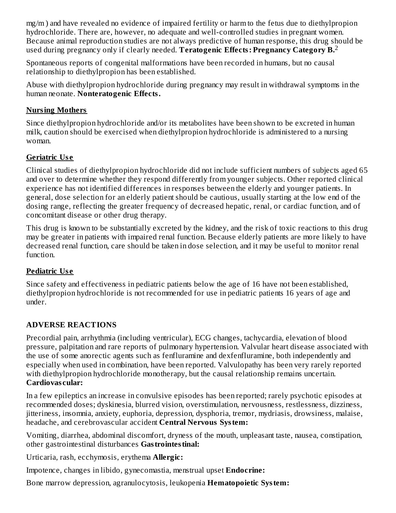mg/m ) and have revealed no evidence of impaired fertility or harm to the fetus due to diethylpropion hydrochloride. There are, however, no adequate and well-controlled studies in pregnant women. Because animal reproduction studies are not always predictive of human response, this drug should be used during pregnancy only if clearly needed. **Teratogenic Effects: Pregnancy Category B.** 2

Spontaneous reports of congenital malformations have been recorded in humans, but no causal relationship to diethylpropion has been established.

Abuse with diethylpropion hydrochloride during pregnancy may result in withdrawal symptoms in the human neonate. **Nonteratogenic Effects.**

### **Nursing Mothers**

Since diethylpropion hydrochloride and/or its metabolites have been shown to be excreted in human milk, caution should be exercised when diethylpropion hydrochloride is administered to a nursing woman.

### **Geriatric Us e**

Clinical studies of diethylpropion hydrochloride did not include sufficient numbers of subjects aged 65 and over to determine whether they respond differently from younger subjects. Other reported clinical experience has not identified differences in responses between the elderly and younger patients. In general, dose selection for an elderly patient should be cautious, usually starting at the low end of the dosing range, reflecting the greater frequency of decreased hepatic, renal, or cardiac function, and of concomitant disease or other drug therapy.

This drug is known to be substantially excreted by the kidney, and the risk of toxic reactions to this drug may be greater in patients with impaired renal function. Because elderly patients are more likely to have decreased renal function, care should be taken in dose selection, and it may be useful to monitor renal function.

# **Pediatric Us e**

Since safety and effectiveness in pediatric patients below the age of 16 have not been established, diethylpropion hydrochloride is not recommended for use in pediatric patients 16 years of age and under.

# **ADVERSE REACTIONS**

Precordial pain, arrhythmia (including ventricular), ECG changes, tachycardia, elevation of blood pressure, palpitation and rare reports of pulmonary hypertension. Valvular heart disease associated with the use of some anorectic agents such as fenfluramine and dexfenfluramine, both independently and especially when used in combination, have been reported. Valvulopathy has been very rarely reported with diethylpropion hydrochloride monotherapy, but the causal relationship remains uncertain. **Cardiovas cular:**

In a few epileptics an increase in convulsive episodes has been reported; rarely psychotic episodes at recommended doses; dyskinesia, blurred vision, overstimulation, nervousness, restlessness, dizziness, jitteriness, insomnia, anxiety, euphoria, depression, dysphoria, tremor, mydriasis, drowsiness, malaise, headache, and cerebrovascular accident **Central Nervous System:**

Vomiting, diarrhea, abdominal discomfort, dryness of the mouth, unpleasant taste, nausea, constipation, other gastrointestinal disturbances **Gastrointestinal:**

Urticaria, rash, ecchymosis, erythema **Allergic:**

Impotence, changes in libido, gynecomastia, menstrual upset **Endocrine:**

Bone marrow depression, agranulocytosis, leukopenia **Hematopoietic System:**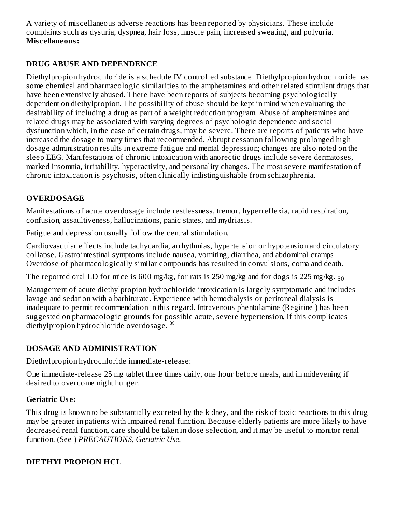A variety of miscellaneous adverse reactions has been reported by physicians. These include complaints such as dysuria, dyspnea, hair loss, muscle pain, increased sweating, and polyuria. **Mis cellaneous:**

### **DRUG ABUSE AND DEPENDENCE**

Diethylpropion hydrochloride is a schedule IV controlled substance. Diethylpropion hydrochloride has some chemical and pharmacologic similarities to the amphetamines and other related stimulant drugs that have been extensively abused. There have been reports of subjects becoming psychologically dependent on diethylpropion. The possibility of abuse should be kept in mind when evaluating the desirability of including a drug as part of a weight reduction program. Abuse of amphetamines and related drugs may be associated with varying degrees of psychologic dependence and social dysfunction which, in the case of certain drugs, may be severe. There are reports of patients who have increased the dosage to many times that recommended. Abrupt cessation following prolonged high dosage administration results in extreme fatigue and mental depression; changes are also noted on the sleep EEG. Manifestations of chronic intoxication with anorectic drugs include severe dermatoses, marked insomnia, irritability, hyperactivity, and personality changes. The most severe manifestation of chronic intoxication is psychosis, often clinically indistinguishable from schizophrenia.

## **OVERDOSAGE**

Manifestations of acute overdosage include restlessness, tremor, hyperreflexia, rapid respiration, confusion, assaultiveness, hallucinations, panic states, and mydriasis.

Fatigue and depression usually follow the central stimulation.

Cardiovascular effects include tachycardia, arrhythmias, hypertension or hypotension and circulatory collapse. Gastrointestinal symptoms include nausea, vomiting, diarrhea, and abdominal cramps. Overdose of pharmacologically similar compounds has resulted in convulsions, coma and death.

The reported oral LD for mice is  $600$  mg/kg, for rats is 250 mg/kg and for dogs is 225 mg/kg.  $_{50}$ 

Management of acute diethylpropion hydrochloride intoxication is largely symptomatic and includes lavage and sedation with a barbiturate. Experience with hemodialysis or peritoneal dialysis is inadequate to permit recommendation in this regard. Intravenous phentolamine (Regitine ) has been suggested on pharmacologic grounds for possible acute, severe hypertension, if this complicates diethylpropion hydrochloride overdosage. ®

#### **DOSAGE AND ADMINISTRATION**

Diethylpropion hydrochloride immediate-release:

One immediate-release 25 mg tablet three times daily, one hour before meals, and in midevening if desired to overcome night hunger.

#### **Geriatric Us e:**

This drug is known to be substantially excreted by the kidney, and the risk of toxic reactions to this drug may be greater in patients with impaired renal function. Because elderly patients are more likely to have decreased renal function, care should be taken in dose selection, and it may be useful to monitor renal function. (See ) *PRECAUTIONS, Geriatric Use.*

#### **DIETHYLPROPION HCL**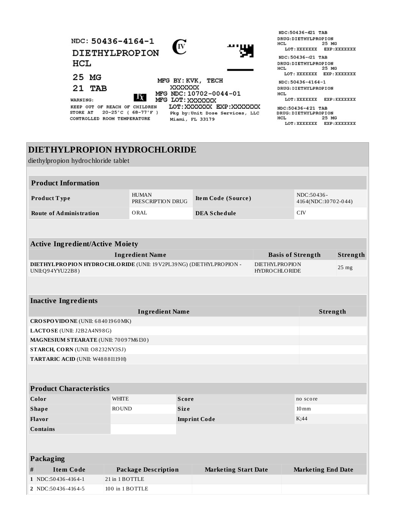| NDC: 50436-4164-1<br>DIETHYLPROPION<br>HCL                                                       | (IV<br>ுய                                                                       | NDC:50436-421 TAB<br>DRUG: DIETHYLPROPION<br>25 MG<br>HCL.<br>LOT : XXXXXXX<br>EXP:XXXXXXX<br>NDC: 50436-421 TAB<br>DRUG: DIETHYLPROPION<br>25 MG<br>HCL. |
|--------------------------------------------------------------------------------------------------|---------------------------------------------------------------------------------|-----------------------------------------------------------------------------------------------------------------------------------------------------------|
| 25 MG                                                                                            | MFG BY: KVK, TECH                                                               | LOT: XXXXXXX<br>EXP: XXXXXXX<br>NDC: 50436-4164-1                                                                                                         |
| 21 TAB<br>$ \mathbf{X} $<br>WARNING:                                                             | XXXXXXX<br>MFG NDC: 10702-0044-01<br>MFG LOT: XXXXXXX                           | DRUG: DIETHYLPROPION<br>HCL<br>LOT : XXXXXXX<br>EXP:XXXXXXX                                                                                               |
| KEEP OUT OF REACH OF CHILDREN<br>$20-25$ °C (68-77°F)<br>STORE AT<br>CONTROLLED ROOM TEMPERATURE | LOT: XXXXXXX EXP: XXXXXXX<br>Pkg by: Unit Dose Services, LLC<br>Miami, FL 33179 | NDC:50436-421 TAB<br>DRUG: DIETHYLPROPION<br>HCL<br>25 MG<br>LOT : XXXXXXX<br>EXP:XXXXXXX                                                                 |

# **DIETHYLPROPION HYDROCHLORIDE**

diethylpropion hydrochloride tablet

| <b>Product Information</b>     |                                   |                     |                                   |  |
|--------------------------------|-----------------------------------|---------------------|-----------------------------------|--|
| <b>Product Type</b>            | <b>HUMAN</b><br>PRESCRIPTION DRUG | Item Code (Source)  | NDC:50436-<br>4164(NDC:10702-044) |  |
| <b>Route of Administration</b> | ORAL                              | <b>DEA Schedule</b> | CIV                               |  |

| <b>Active Ingredient/Active Moiety</b>                                                           |                                 |                 |  |
|--------------------------------------------------------------------------------------------------|---------------------------------|-----------------|--|
| Ingredient Name                                                                                  | <b>Basis of Strength</b>        | Strength        |  |
| <b>DIETHYLPROPION HYDRO CHLORIDE</b> (UNII: 19 V2PL39 NG) (DIETHYLPROPION -<br>UNII: Q94YYU22B8) | DIETHYLPROPION<br>HYDROCHLORIDE | $25 \text{ mg}$ |  |

| <b>Ingredient Name</b>                  | Strength |
|-----------------------------------------|----------|
| $CRO$ SPO VIDO NE (UNII: 6840 1960 MK)  |          |
| <b>LACTOSE</b> (UNII: $J2B2A4N98G$ )    |          |
| MAGNESIUM STEARATE (UNII: 70097M6I30)   |          |
| <b>STARCH, CORN</b> (UNII: O8232NY3SJ)  |          |
| <b>TARTARIC ACID (UNII: W4888I119H)</b> |          |

| <b>Product Characteristics</b> |              |                     |                    |  |
|--------------------------------|--------------|---------------------|--------------------|--|
| Color                          | WHITE        | <b>Score</b>        | no score           |  |
| <b>Shape</b>                   | <b>ROUND</b> | <b>Size</b>         | $10 \,\mathrm{mm}$ |  |
| <b>Flavor</b>                  |              | <b>Imprint Code</b> | K;44               |  |
| <b>Contains</b>                |              |                     |                    |  |

|   | Packaging            |                            |                             |                           |  |  |
|---|----------------------|----------------------------|-----------------------------|---------------------------|--|--|
| # | Item Code            | <b>Package Description</b> | <b>Marketing Start Date</b> | <b>Marketing End Date</b> |  |  |
|   | $1$ NDC:50436-4164-1 | $21$ in 1 BOTTLE           |                             |                           |  |  |
|   | 2 NDC:50436-4164-5   | 100 in 1 BOTTLE            |                             |                           |  |  |